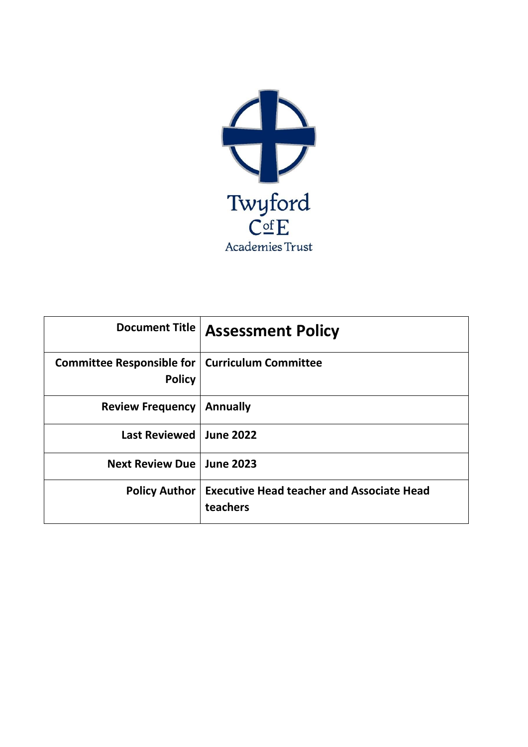

|                                                                   | Document Title   Assessment Policy                           |
|-------------------------------------------------------------------|--------------------------------------------------------------|
| Committee Responsible for   Curriculum Committee<br><b>Policy</b> |                                                              |
| <b>Review Frequency</b>                                           | <b>Annually</b>                                              |
| <b>Last Reviewed</b>                                              | <b>June 2022</b>                                             |
| Next Review Due   June 2023                                       |                                                              |
| <b>Policy Author</b>                                              | <b>Executive Head teacher and Associate Head</b><br>teachers |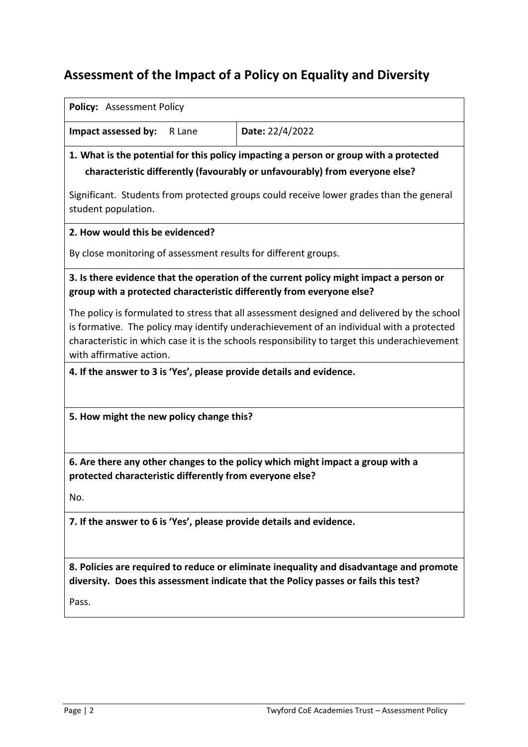# **Assessment of the Impact of a Policy on Equality and Diversity**

#### **Policy:** Assessment Policy

**Impact assessed by:** R Lane **Date:** 22/4/2022

**1. What is the potential for this policy impacting a person or group with a protected characteristic differently (favourably or unfavourably) from everyone else?** 

Significant. Students from protected groups could receive lower grades than the general student population.

**2. How would this be evidenced?** 

By close monitoring of assessment results for different groups.

**3. Is there evidence that the operation of the current policy might impact a person or group with a protected characteristic differently from everyone else?** 

The policy is formulated to stress that all assessment designed and delivered by the school is formative. The policy may identify underachievement of an individual with a protected characteristic in which case it is the schools responsibility to target this underachievement with affirmative action.

**4. If the answer to 3 is 'Yes', please provide details and evidence.** 

**5. How might the new policy change this?** 

**6. Are there any other changes to the policy which might impact a group with a protected characteristic differently from everyone else?** 

No.

**7. If the answer to 6 is 'Yes', please provide details and evidence.** 

**8. Policies are required to reduce or eliminate inequality and disadvantage and promote diversity. Does this assessment indicate that the Policy passes or fails this test?** 

Pass.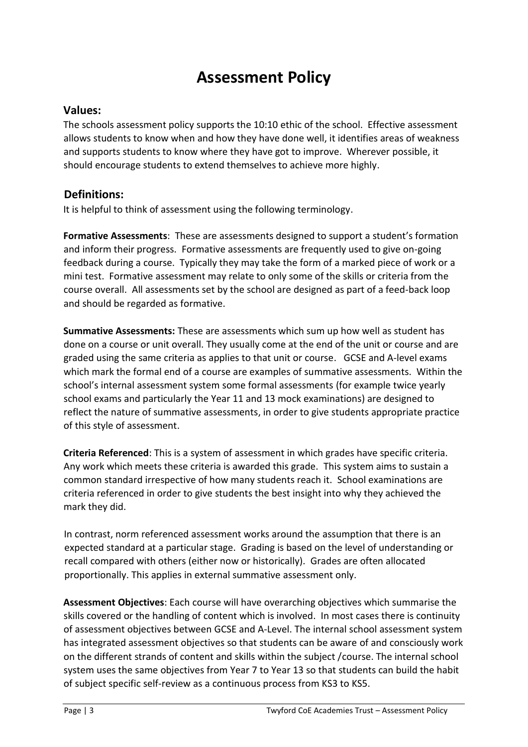# **Assessment Policy**

### **Values:**

The schools assessment policy supports the 10:10 ethic of the school. Effective assessment allows students to know when and how they have done well, it identifies areas of weakness and supports students to know where they have got to improve. Wherever possible, it should encourage students to extend themselves to achieve more highly.

### **Definitions:**

It is helpful to think of assessment using the following terminology.

**Formative Assessments**: These are assessments designed to support a student's formation and inform their progress. Formative assessments are frequently used to give on-going feedback during a course. Typically they may take the form of a marked piece of work or a mini test. Formative assessment may relate to only some of the skills or criteria from the course overall. All assessments set by the school are designed as part of a feed-back loop and should be regarded as formative.

**Summative Assessments:** These are assessments which sum up how well as student has done on a course or unit overall. They usually come at the end of the unit or course and are graded using the same criteria as applies to that unit or course. GCSE and A-level exams which mark the formal end of a course are examples of summative assessments. Within the school's internal assessment system some formal assessments (for example twice yearly school exams and particularly the Year 11 and 13 mock examinations) are designed to reflect the nature of summative assessments, in order to give students appropriate practice of this style of assessment.

**Criteria Referenced**: This is a system of assessment in which grades have specific criteria. Any work which meets these criteria is awarded this grade. This system aims to sustain a common standard irrespective of how many students reach it. School examinations are criteria referenced in order to give students the best insight into why they achieved the mark they did.

In contrast, norm referenced assessment works around the assumption that there is an expected standard at a particular stage. Grading is based on the level of understanding or recall compared with others (either now or historically). Grades are often allocated proportionally. This applies in external summative assessment only.

**Assessment Objectives**: Each course will have overarching objectives which summarise the skills covered or the handling of content which is involved. In most cases there is continuity of assessment objectives between GCSE and A-Level. The internal school assessment system has integrated assessment objectives so that students can be aware of and consciously work on the different strands of content and skills within the subject /course. The internal school system uses the same objectives from Year 7 to Year 13 so that students can build the habit of subject specific self-review as a continuous process from KS3 to KS5.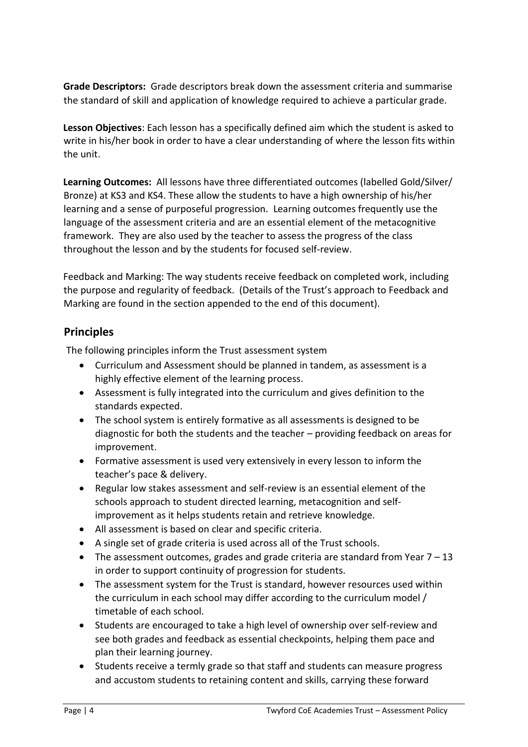**Grade Descriptors:** Grade descriptors break down the assessment criteria and summarise the standard of skill and application of knowledge required to achieve a particular grade.

**Lesson Objectives**: Each lesson has a specifically defined aim which the student is asked to write in his/her book in order to have a clear understanding of where the lesson fits within the unit.

**Learning Outcomes:** All lessons have three differentiated outcomes (labelled Gold/Silver/ Bronze) at KS3 and KS4. These allow the students to have a high ownership of his/her learning and a sense of purposeful progression.Learning outcomes frequently use the language of the assessment criteria and are an essential element of the metacognitive framework. They are also used by the teacher to assess the progress of the class throughout the lesson and by the students for focused self-review.

Feedback and Marking: The way students receive feedback on completed work, including the purpose and regularity of feedback. (Details of the Trust's approach to Feedback and Marking are found in the section appended to the end of this document).

### **Principles**

The following principles inform the Trust assessment system

- Curriculum and Assessment should be planned in tandem, as assessment is a highly effective element of the learning process.
- Assessment is fully integrated into the curriculum and gives definition to the standards expected.
- The school system is entirely formative as all assessments is designed to be diagnostic for both the students and the teacher – providing feedback on areas for improvement.
- Formative assessment is used very extensively in every lesson to inform the teacher's pace & delivery.
- Regular low stakes assessment and self-review is an essential element of the schools approach to student directed learning, metacognition and selfimprovement as it helps students retain and retrieve knowledge.
- All assessment is based on clear and specific criteria.
- A single set of grade criteria is used across all of the Trust schools.
- $\bullet$  The assessment outcomes, grades and grade criteria are standard from Year 7 13 in order to support continuity of progression for students.
- The assessment system for the Trust is standard, however resources used within the curriculum in each school may differ according to the curriculum model / timetable of each school.
- Students are encouraged to take a high level of ownership over self-review and see both grades and feedback as essential checkpoints, helping them pace and plan their learning journey.
- Students receive a termly grade so that staff and students can measure progress and accustom students to retaining content and skills, carrying these forward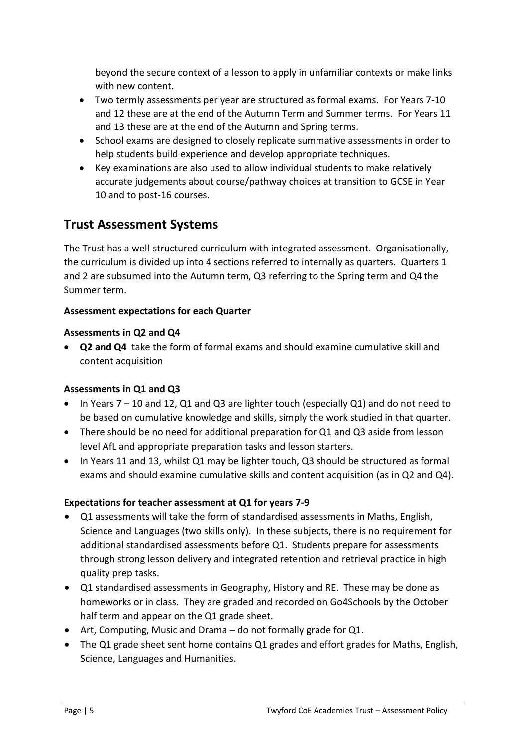beyond the secure context of a lesson to apply in unfamiliar contexts or make links with new content.

- Two termly assessments per year are structured as formal exams. For Years 7-10 and 12 these are at the end of the Autumn Term and Summer terms. For Years 11 and 13 these are at the end of the Autumn and Spring terms.
- School exams are designed to closely replicate summative assessments in order to help students build experience and develop appropriate techniques.
- Key examinations are also used to allow individual students to make relatively accurate judgements about course/pathway choices at transition to GCSE in Year 10 and to post-16 courses.

## **Trust Assessment Systems**

The Trust has a well-structured curriculum with integrated assessment. Organisationally, the curriculum is divided up into 4 sections referred to internally as quarters. Quarters 1 and 2 are subsumed into the Autumn term, Q3 referring to the Spring term and Q4 the Summer term.

### **Assessment expectations for each Quarter**

### **Assessments in Q2 and Q4**

 **Q2 and Q4** take the form of formal exams and should examine cumulative skill and content acquisition

### **Assessments in Q1 and Q3**

- $\bullet$  In Years 7 10 and 12, Q1 and Q3 are lighter touch (especially Q1) and do not need to be based on cumulative knowledge and skills, simply the work studied in that quarter.
- There should be no need for additional preparation for Q1 and Q3 aside from lesson level AfL and appropriate preparation tasks and lesson starters.
- In Years 11 and 13, whilst Q1 may be lighter touch, Q3 should be structured as formal exams and should examine cumulative skills and content acquisition (as in Q2 and Q4).

### **Expectations for teacher assessment at Q1 for years 7-9**

- Q1 assessments will take the form of standardised assessments in Maths, English, Science and Languages (two skills only). In these subjects, there is no requirement for additional standardised assessments before Q1. Students prepare for assessments through strong lesson delivery and integrated retention and retrieval practice in high quality prep tasks.
- Q1 standardised assessments in Geography, History and RE. These may be done as homeworks or in class. They are graded and recorded on Go4Schools by the October half term and appear on the Q1 grade sheet.
- Art, Computing, Music and Drama do not formally grade for Q1.
- The Q1 grade sheet sent home contains Q1 grades and effort grades for Maths, English, Science, Languages and Humanities.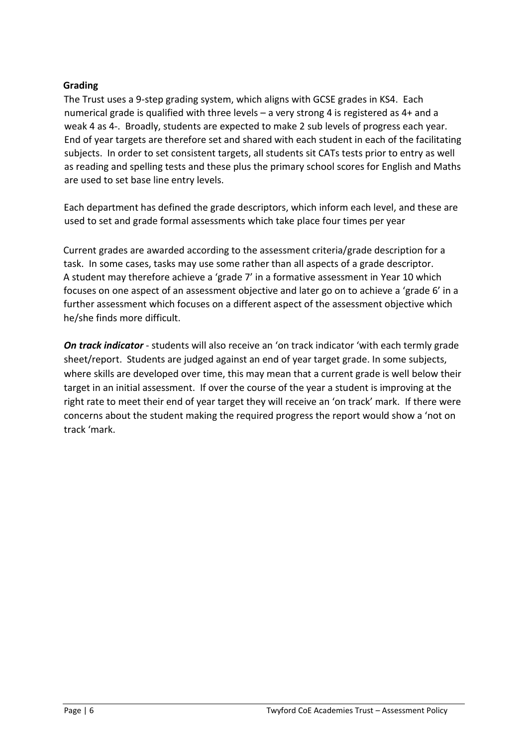### **Grading**

The Trust uses a 9-step grading system, which aligns with GCSE grades in KS4. Each numerical grade is qualified with three levels – a very strong 4 is registered as 4+ and a weak 4 as 4-. Broadly, students are expected to make 2 sub levels of progress each year. End of year targets are therefore set and shared with each student in each of the facilitating subjects. In order to set consistent targets, all students sit CATs tests prior to entry as well as reading and spelling tests and these plus the primary school scores for English and Maths are used to set base line entry levels.

Each department has defined the grade descriptors, which inform each level, and these are used to set and grade formal assessments which take place four times per year

Current grades are awarded according to the assessment criteria/grade description for a task. In some cases, tasks may use some rather than all aspects of a grade descriptor. A student may therefore achieve a 'grade 7' in a formative assessment in Year 10 which focuses on one aspect of an assessment objective and later go on to achieve a 'grade 6' in a further assessment which focuses on a different aspect of the assessment objective which he/she finds more difficult.

*On track indicator* - students will also receive an 'on track indicator 'with each termly grade sheet/report. Students are judged against an end of year target grade. In some subjects, where skills are developed over time, this may mean that a current grade is well below their target in an initial assessment. If over the course of the year a student is improving at the right rate to meet their end of year target they will receive an 'on track' mark. If there were concerns about the student making the required progress the report would show a 'not on track 'mark.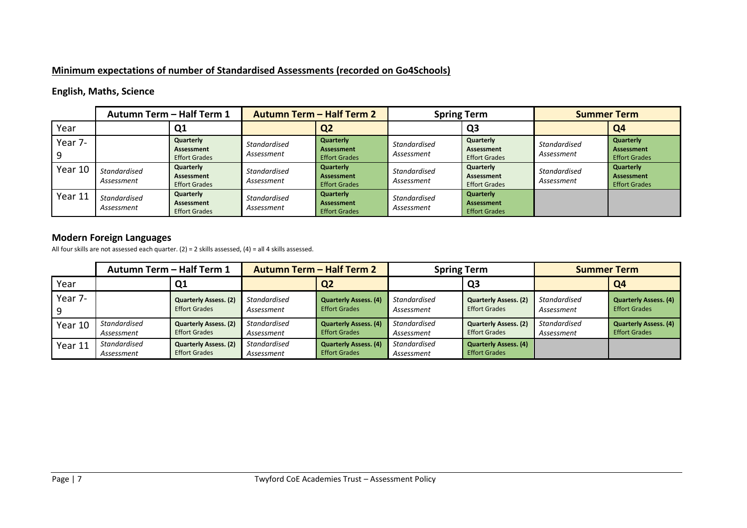### **Minimum expectations of number of Standardised Assessments (recorded on Go4Schools)**

### **English, Maths, Science**

|         | Autumn Term - Half Term 1         |                                                 | <b>Autumn Term - Half Term 2</b> |                                                               | <b>Spring Term</b>                |                                                        | <b>Summer Term</b>         |                                                        |
|---------|-----------------------------------|-------------------------------------------------|----------------------------------|---------------------------------------------------------------|-----------------------------------|--------------------------------------------------------|----------------------------|--------------------------------------------------------|
| Year    |                                   | Q <sub>1</sub>                                  |                                  | Q <sub>2</sub>                                                |                                   | Q <sub>3</sub>                                         |                            | Q <sub>4</sub>                                         |
| Year 7- |                                   | Quarterly<br>Assessment<br><b>Effort Grades</b> | Standardised<br>Assessment       | <b>Quarterly</b><br><b>Assessment</b><br><b>Effort Grades</b> | Standardised<br>Assessment        | Quarterly<br>Assessment<br><b>Effort Grades</b>        | Standardised<br>Assessment | Quarterly<br>Assessment<br><b>Effort Grades</b>        |
| Year 10 | Standardised<br>Assessment        | Quarterly<br>Assessment<br><b>Effort Grades</b> | Standardised<br>Assessment       | Quarterly<br><b>Assessment</b><br><b>Effort Grades</b>        | Standardised<br>Assessment        | Quarterly<br>Assessment<br><b>Effort Grades</b>        | Standardised<br>Assessment | Quarterly<br><b>Assessment</b><br><b>Effort Grades</b> |
| Year 11 | <b>Standardised</b><br>Assessment | Quarterly<br>Assessment<br><b>Effort Grades</b> | Standardised<br>Assessment       | Quarterly<br><b>Assessment</b><br><b>Effort Grades</b>        | <b>Standardised</b><br>Assessment | Quarterly<br><b>Assessment</b><br><b>Effort Grades</b> |                            |                                                        |

### **Modern Foreign Languages**

All four skills are not assessed each quarter. (2) = 2 skills assessed, (4) = all 4 skills assessed.

|         | <b>Autumn Term - Half Term 2</b><br>Autumn Term - Half Term 1 |                                                      |                                   | <b>Spring Term</b>                                   |                                   | <b>Summer Term</b>                                   |                            |                                                      |
|---------|---------------------------------------------------------------|------------------------------------------------------|-----------------------------------|------------------------------------------------------|-----------------------------------|------------------------------------------------------|----------------------------|------------------------------------------------------|
| Year    |                                                               | Q <sub>1</sub>                                       |                                   | Q <sub>2</sub>                                       |                                   | Q3                                                   |                            | Q4                                                   |
| Year 7- |                                                               | <b>Quarterly Assess. (2)</b><br><b>Effort Grades</b> | <b>Standardised</b><br>Assessment | <b>Quarterly Assess. (4)</b><br><b>Effort Grades</b> | Standardised<br>Assessment        | <b>Quarterly Assess. (2)</b><br><b>Effort Grades</b> | Standardised<br>Assessment | <b>Quarterly Assess. (4)</b><br><b>Effort Grades</b> |
| Year 10 | Standardised<br>Assessment                                    | <b>Quarterly Assess. (2)</b><br><b>Effort Grades</b> | <b>Standardised</b><br>Assessment | <b>Quarterly Assess. (4)</b><br><b>Effort Grades</b> | <b>Standardised</b><br>Assessment | <b>Quarterly Assess. (2)</b><br><b>Effort Grades</b> | Standardised<br>Assessment | <b>Quarterly Assess. (4)</b><br><b>Effort Grades</b> |
| Year 11 | Standardised<br>Assessment                                    | <b>Quarterly Assess. (2)</b><br><b>Effort Grades</b> | <b>Standardised</b><br>Assessment | <b>Quarterly Assess. (4)</b><br><b>Effort Grades</b> | Standardised<br>Assessment        | <b>Quarterly Assess. (4)</b><br><b>Effort Grades</b> |                            |                                                      |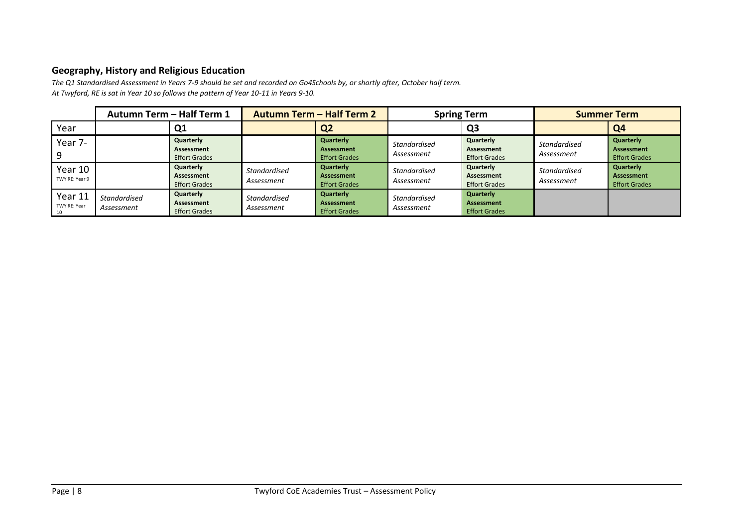### **Geography, History and Religious Education**

*The Q1 Standardised Assessment in Years 7-9 should be set and recorded on Go4Schools by, or shortly after, October half term. At Twyford, RE is sat in Year 10 so follows the pattern of Year 10-11 in Years 9-10.*

|                               |                                   | Autumn Term - Half Term 1<br><b>Autumn Term - Half Term 2</b> |                            | <b>Spring Term</b>                                     |                                   | <b>Summer Term</b>                              |                                   |                                                        |
|-------------------------------|-----------------------------------|---------------------------------------------------------------|----------------------------|--------------------------------------------------------|-----------------------------------|-------------------------------------------------|-----------------------------------|--------------------------------------------------------|
| Year                          |                                   | Q <sub>1</sub>                                                |                            | Q <sub>2</sub>                                         |                                   | Q3                                              |                                   | Q <sub>4</sub>                                         |
| Year 7-                       |                                   | Quarterly<br>Assessment<br><b>Effort Grades</b>               |                            | Quarterly<br><b>Assessment</b><br><b>Effort Grades</b> | <b>Standardised</b><br>Assessment | Quarterly<br>Assessment<br><b>Effort Grades</b> | <b>Standardised</b><br>Assessment | Quarterly<br><b>Assessment</b><br><b>Effort Grades</b> |
| Year 10<br>TWY RE: Year 9     |                                   | Quarterly<br>Assessment<br><b>Effort Grades</b>               | Standardised<br>Assessment | Quarterly<br><b>Assessment</b><br><b>Effort Grades</b> | Standardised<br>Assessment        | Quarterly<br>Assessment<br><b>Effort Grades</b> | <b>Standardised</b><br>Assessment | Quarterly<br><b>Assessment</b><br><b>Effort Grades</b> |
| Year 11<br>TWY RE: Year<br>10 | <b>Standardised</b><br>Assessment | Quarterly<br>Assessment<br><b>Effort Grades</b>               | Standardised<br>Assessment | Quarterly<br><b>Assessment</b><br><b>Effort Grades</b> | <b>Standardised</b><br>Assessment | Quarterly<br>Assessment<br><b>Effort Grades</b> |                                   |                                                        |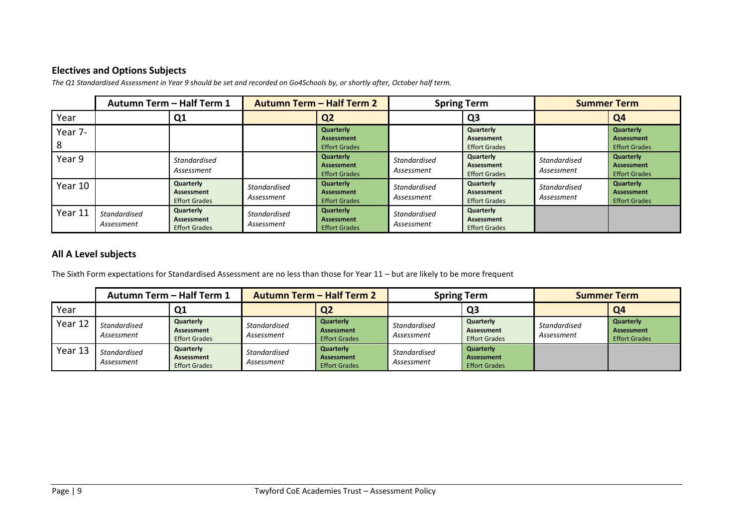### **Electives and Options Subjects**

|              | <b>Autumn Term - Half Term 2</b><br>Autumn Term - Half Term 1 |                                                 | <b>Spring Term</b>                |                                                        | <b>Summer Term</b>                |                                                 |                                   |                                                        |
|--------------|---------------------------------------------------------------|-------------------------------------------------|-----------------------------------|--------------------------------------------------------|-----------------------------------|-------------------------------------------------|-----------------------------------|--------------------------------------------------------|
| Year         |                                                               | Q1                                              |                                   | Q <sub>2</sub>                                         |                                   | Q3                                              |                                   | Q <sub>4</sub>                                         |
| Year 7-<br>8 |                                                               |                                                 |                                   | Quarterly<br><b>Assessment</b><br><b>Effort Grades</b> |                                   | Quarterly<br>Assessment<br><b>Effort Grades</b> |                                   | Quarterly<br><b>Assessment</b><br><b>Effort Grades</b> |
| Year 9       |                                                               | <b>Standardised</b><br>Assessment               |                                   | Quarterly<br><b>Assessment</b><br><b>Effort Grades</b> | Standardised<br>Assessment        | Quarterly<br>Assessment<br><b>Effort Grades</b> | <b>Standardised</b><br>Assessment | Quarterly<br><b>Assessment</b><br><b>Effort Grades</b> |
| Year 10      |                                                               | Quarterly<br>Assessment<br><b>Effort Grades</b> | <b>Standardised</b><br>Assessment | Quarterly<br><b>Assessment</b><br><b>Effort Grades</b> | Standardised<br>Assessment        | Quarterly<br>Assessment<br><b>Effort Grades</b> | <b>Standardised</b><br>Assessment | Quarterly<br><b>Assessment</b><br><b>Effort Grades</b> |
| Year 11      | <b>Standardised</b><br>Assessment                             | Quarterly<br>Assessment<br><b>Effort Grades</b> | <b>Standardised</b><br>Assessment | Quarterly<br><b>Assessment</b><br><b>Effort Grades</b> | <b>Standardised</b><br>Assessment | Quarterly<br>Assessment<br><b>Effort Grades</b> |                                   |                                                        |

*The Q1 Standardised Assessment in Year 9 should be set and recorded on Go4Schools by, or shortly after, October half term.* 

### **All A Level subjects**

The Sixth Form expectations for Standardised Assessment are no less than those for Year 11 – but are likely to be more frequent

|         | Autumn Term - Half Term 1  |                                                 | <b>Autumn Term - Half Term 2</b>  |                                                        | <b>Spring Term</b>                |                                                 | <b>Summer Term</b>                |                                                 |
|---------|----------------------------|-------------------------------------------------|-----------------------------------|--------------------------------------------------------|-----------------------------------|-------------------------------------------------|-----------------------------------|-------------------------------------------------|
| Year    |                            | Q1                                              |                                   | Q <sub>2</sub>                                         |                                   | Q3                                              |                                   | Q <sub>4</sub>                                  |
| Year 12 | Standardised<br>Assessment | Quarterly<br>Assessment<br><b>Effort Grades</b> | <b>Standardised</b><br>Assessment | Quarterly<br>Assessment<br><b>Effort Grades</b>        | Standardised<br>Assessment        | Quarterly<br>Assessment<br><b>Effort Grades</b> | <b>Standardised</b><br>Assessment | Quarterly<br>Assessment<br><b>Effort Grades</b> |
| Year 13 | Standardised<br>Assessment | Quarterly<br>Assessment<br><b>Effort Grades</b> | <b>Standardised</b><br>Assessment | Quarterly<br><b>Assessment</b><br><b>Effort Grades</b> | <b>Standardised</b><br>Assessment | Quarterly<br>Assessment<br><b>Effort Grades</b> |                                   |                                                 |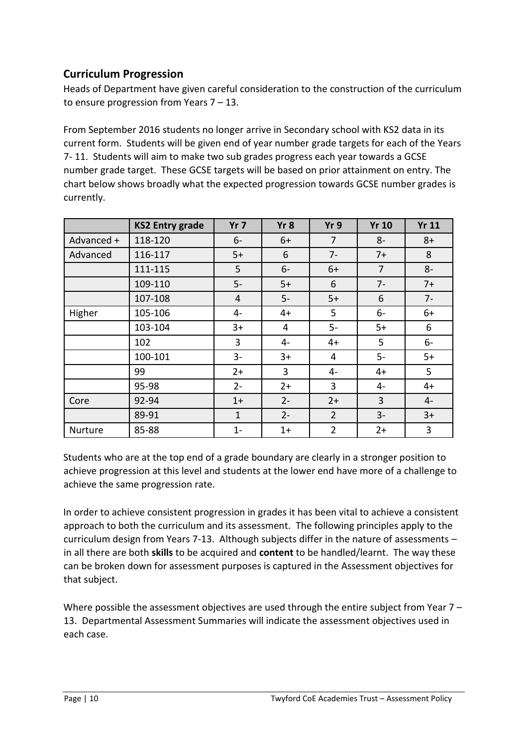### **Curriculum Progression**

Heads of Department have given careful consideration to the construction of the curriculum to ensure progression from Years 7 – 13.

From September 2016 students no longer arrive in Secondary school with KS2 data in its current form. Students will be given end of year number grade targets for each of the Years 7- 11. Students will aim to make two sub grades progress each year towards a GCSE number grade target. These GCSE targets will be based on prior attainment on entry. The chart below shows broadly what the expected progression towards GCSE number grades is currently.

|            | <b>KS2 Entry grade</b> | Yr <sub>7</sub> | Yr 8  | Yr9            | <b>Yr 10</b>   | <b>Yr 11</b> |
|------------|------------------------|-----------------|-------|----------------|----------------|--------------|
| Advanced + | 118-120                | $6-$            | $6+$  | $\overline{7}$ | $8-$           | $8+$         |
| Advanced   | 116-117                | $5+$            | 6     | $7-$           | $7+$           | 8            |
|            | 111-115                | 5               | $6-$  | $6+$           | $\overline{7}$ | $8-$         |
|            | 109-110                | $5-$            | $5+$  | 6              | $7-$           | $7+$         |
|            | 107-108                | 4               | $5-$  | $5+$           | 6              | $7-$         |
| Higher     | 105-106                | 4-              | $4+$  | 5              | $6-$           | $6+$         |
|            | 103-104                | $3+$            | 4     | $5-$           | $5+$           | 6            |
|            | 102                    | $\overline{3}$  | 4-    | $4+$           | 5              | $6-$         |
|            | 100-101                | $3-$            | $3+$  | 4              | $5-$           | $5+$         |
|            | 99                     | $2+$            | 3     | 4-             | $4+$           | 5            |
|            | 95-98                  | $2 -$           | $2+$  | 3              | 4-             | $4+$         |
| Core       | 92-94                  | $1+$            | $2 -$ | $2+$           | $\overline{3}$ | $4-$         |
|            | 89-91                  | $\mathbf{1}$    | $2 -$ | $\overline{2}$ | $3-$           | $3+$         |
| Nurture    | 85-88                  | $1 -$           | $1+$  | $\overline{2}$ | $2+$           | 3            |

Students who are at the top end of a grade boundary are clearly in a stronger position to achieve progression at this level and students at the lower end have more of a challenge to achieve the same progression rate.

In order to achieve consistent progression in grades it has been vital to achieve a consistent approach to both the curriculum and its assessment. The following principles apply to the curriculum design from Years 7-13. Although subjects differ in the nature of assessments – in all there are both **skills** to be acquired and **content** to be handled/learnt. The way these can be broken down for assessment purposes is captured in the Assessment objectives for that subject.

Where possible the assessment objectives are used through the entire subject from Year  $7 -$ 13. Departmental Assessment Summaries will indicate the assessment objectives used in each case.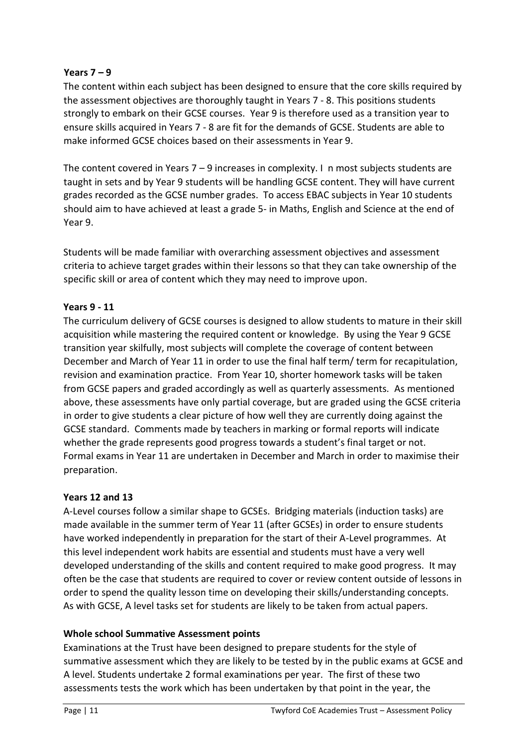### **Years 7 – 9**

The content within each subject has been designed to ensure that the core skills required by the assessment objectives are thoroughly taught in Years 7 - 8. This positions students strongly to embark on their GCSE courses. Year 9 is therefore used as a transition year to ensure skills acquired in Years 7 - 8 are fit for the demands of GCSE. Students are able to make informed GCSE choices based on their assessments in Year 9.

The content covered in Years  $7 - 9$  increases in complexity. I n most subjects students are taught in sets and by Year 9 students will be handling GCSE content. They will have current grades recorded as the GCSE number grades. To access EBAC subjects in Year 10 students should aim to have achieved at least a grade 5- in Maths, English and Science at the end of Year 9.

Students will be made familiar with overarching assessment objectives and assessment criteria to achieve target grades within their lessons so that they can take ownership of the specific skill or area of content which they may need to improve upon.

### **Years 9 - 11**

The curriculum delivery of GCSE courses is designed to allow students to mature in their skill acquisition while mastering the required content or knowledge. By using the Year 9 GCSE transition year skilfully, most subjects will complete the coverage of content between December and March of Year 11 in order to use the final half term/ term for recapitulation, revision and examination practice. From Year 10, shorter homework tasks will be taken from GCSE papers and graded accordingly as well as quarterly assessments. As mentioned above, these assessments have only partial coverage, but are graded using the GCSE criteria in order to give students a clear picture of how well they are currently doing against the GCSE standard. Comments made by teachers in marking or formal reports will indicate whether the grade represents good progress towards a student's final target or not. Formal exams in Year 11 are undertaken in December and March in order to maximise their preparation.

### **Years 12 and 13**

A-Level courses follow a similar shape to GCSEs. Bridging materials (induction tasks) are made available in the summer term of Year 11 (after GCSEs) in order to ensure students have worked independently in preparation for the start of their A-Level programmes. At this level independent work habits are essential and students must have a very well developed understanding of the skills and content required to make good progress. It may often be the case that students are required to cover or review content outside of lessons in order to spend the quality lesson time on developing their skills/understanding concepts. As with GCSE, A level tasks set for students are likely to be taken from actual papers.

### **Whole school Summative Assessment points**

Examinations at the Trust have been designed to prepare students for the style of summative assessment which they are likely to be tested by in the public exams at GCSE and A level. Students undertake 2 formal examinations per year. The first of these two assessments tests the work which has been undertaken by that point in the year, the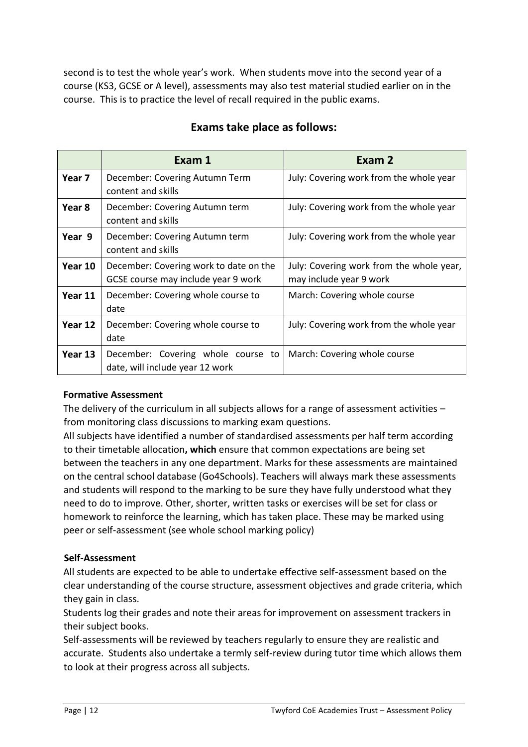second is to test the whole year's work. When students move into the second year of a course (KS3, GCSE or A level), assessments may also test material studied earlier on in the course. This is to practice the level of recall required in the public exams.

|         | Exam 1                                                                        | Exam 2                                                              |
|---------|-------------------------------------------------------------------------------|---------------------------------------------------------------------|
| Year 7  | December: Covering Autumn Term<br>content and skills                          | July: Covering work from the whole year                             |
| Year 8  | December: Covering Autumn term<br>content and skills                          | July: Covering work from the whole year                             |
| Year 9  | December: Covering Autumn term<br>content and skills                          | July: Covering work from the whole year                             |
| Year 10 | December: Covering work to date on the<br>GCSE course may include year 9 work | July: Covering work from the whole year,<br>may include year 9 work |
| Year 11 | December: Covering whole course to<br>date                                    | March: Covering whole course                                        |
| Year 12 | December: Covering whole course to<br>date                                    | July: Covering work from the whole year                             |
| Year 13 | December: Covering whole course to<br>date, will include year 12 work         | March: Covering whole course                                        |

### **Exams take place as follows:**

### **Formative Assessment**

The delivery of the curriculum in all subjects allows for a range of assessment activities from monitoring class discussions to marking exam questions.

All subjects have identified a number of standardised assessments per half term according to their timetable allocation**, which** ensure that common expectations are being set between the teachers in any one department. Marks for these assessments are maintained on the central school database (Go4Schools). Teachers will always mark these assessments and students will respond to the marking to be sure they have fully understood what they need to do to improve. Other, shorter, written tasks or exercises will be set for class or homework to reinforce the learning, which has taken place. These may be marked using peer or self-assessment (see whole school marking policy)

### **Self-Assessment**

All students are expected to be able to undertake effective self-assessment based on the clear understanding of the course structure, assessment objectives and grade criteria, which they gain in class.

Students log their grades and note their areas for improvement on assessment trackers in their subject books.

Self-assessments will be reviewed by teachers regularly to ensure they are realistic and accurate. Students also undertake a termly self-review during tutor time which allows them to look at their progress across all subjects.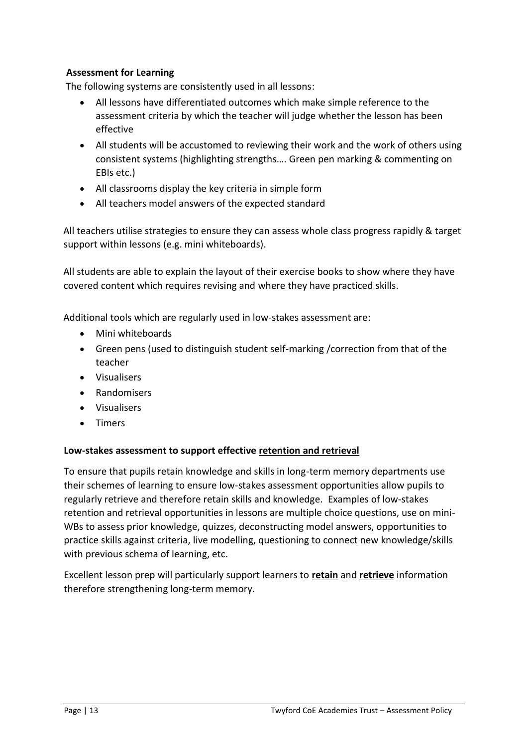### **Assessment for Learning**

The following systems are consistently used in all lessons:

- All lessons have differentiated outcomes which make simple reference to the assessment criteria by which the teacher will judge whether the lesson has been effective
- All students will be accustomed to reviewing their work and the work of others using consistent systems (highlighting strengths…. Green pen marking & commenting on EBIs etc.)
- All classrooms display the key criteria in simple form
- All teachers model answers of the expected standard

All teachers utilise strategies to ensure they can assess whole class progress rapidly & target support within lessons (e.g. mini whiteboards).

All students are able to explain the layout of their exercise books to show where they have covered content which requires revising and where they have practiced skills.

Additional tools which are regularly used in low-stakes assessment are:

- Mini whiteboards
- Green pens (used to distinguish student self-marking /correction from that of the teacher
- Visualisers
- Randomisers
- Visualisers
- Timers

### **Low-stakes assessment to support effective retention and retrieval**

To ensure that pupils retain knowledge and skills in long-term memory departments use their schemes of learning to ensure low-stakes assessment opportunities allow pupils to regularly retrieve and therefore retain skills and knowledge. Examples of low-stakes retention and retrieval opportunities in lessons are multiple choice questions, use on mini-WBs to assess prior knowledge, quizzes, deconstructing model answers, opportunities to practice skills against criteria, live modelling, questioning to connect new knowledge/skills with previous schema of learning, etc.

Excellent lesson prep will particularly support learners to **retain** and **retrieve** information therefore strengthening long-term memory.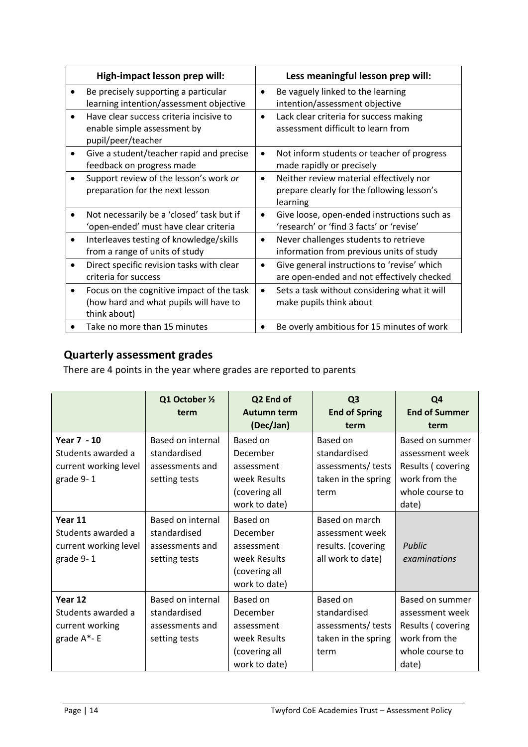| High-impact lesson prep will:                                                                                    | Less meaningful lesson prep will:                                                                              |
|------------------------------------------------------------------------------------------------------------------|----------------------------------------------------------------------------------------------------------------|
| Be precisely supporting a particular<br>learning intention/assessment objective                                  | Be vaguely linked to the learning<br>٠<br>intention/assessment objective                                       |
| Have clear success criteria incisive to<br>enable simple assessment by<br>pupil/peer/teacher                     | Lack clear criteria for success making<br>$\bullet$<br>assessment difficult to learn from                      |
| Give a student/teacher rapid and precise<br>٠<br>feedback on progress made                                       | Not inform students or teacher of progress<br>$\bullet$<br>made rapidly or precisely                           |
| Support review of the lesson's work or<br>preparation for the next lesson                                        | Neither review material effectively nor<br>$\bullet$<br>prepare clearly for the following lesson's<br>learning |
| Not necessarily be a 'closed' task but if<br>'open-ended' must have clear criteria                               | Give loose, open-ended instructions such as<br>$\bullet$<br>'research' or 'find 3 facts' or 'revise'           |
| Interleaves testing of knowledge/skills<br>$\bullet$<br>from a range of units of study                           | Never challenges students to retrieve<br>$\bullet$<br>information from previous units of study                 |
| Direct specific revision tasks with clear<br>$\bullet$<br>criteria for success                                   | Give general instructions to 'revise' which<br>٠<br>are open-ended and not effectively checked                 |
| Focus on the cognitive impact of the task<br>$\bullet$<br>(how hard and what pupils will have to<br>think about) | Sets a task without considering what it will<br>$\bullet$<br>make pupils think about                           |
| Take no more than 15 minutes                                                                                     | Be overly ambitious for 15 minutes of work                                                                     |

# **Quarterly assessment grades**

There are 4 points in the year where grades are reported to parents

|                                                                         | Q1 October 1/2<br>term                                                | Q2 End of<br><b>Autumn term</b><br>(Dec/Jan)                                         | Q <sub>3</sub><br><b>End of Spring</b><br>term                                | Q <sub>4</sub><br><b>End of Summer</b><br>term                                                              |
|-------------------------------------------------------------------------|-----------------------------------------------------------------------|--------------------------------------------------------------------------------------|-------------------------------------------------------------------------------|-------------------------------------------------------------------------------------------------------------|
| Year 7 - 10<br>Students awarded a<br>current working level<br>grade 9-1 | Based on internal<br>standardised<br>assessments and<br>setting tests | Based on<br>December<br>assessment<br>week Results<br>(covering all<br>work to date) | Based on<br>standardised<br>assessments/ tests<br>taken in the spring<br>term | Based on summer<br>assessment week<br>Results (covering<br>work from the<br>whole course to<br>date)        |
| Year 11<br>Students awarded a<br>current working level<br>grade 9-1     | Based on internal<br>standardised<br>assessments and<br>setting tests | Based on<br>December<br>assessment<br>week Results<br>(covering all<br>work to date) | Based on march<br>assessment week<br>results. (covering<br>all work to date)  | Public<br>examinations                                                                                      |
| Year 12<br>Students awarded a<br>current working<br>grade A*- E         | Based on internal<br>standardised<br>assessments and<br>setting tests | Based on<br>December<br>assessment<br>week Results<br>(covering all<br>work to date) | Based on<br>standardised<br>assessments/ tests<br>taken in the spring<br>term | <b>Based on summer</b><br>assessment week<br>Results (covering<br>work from the<br>whole course to<br>date) |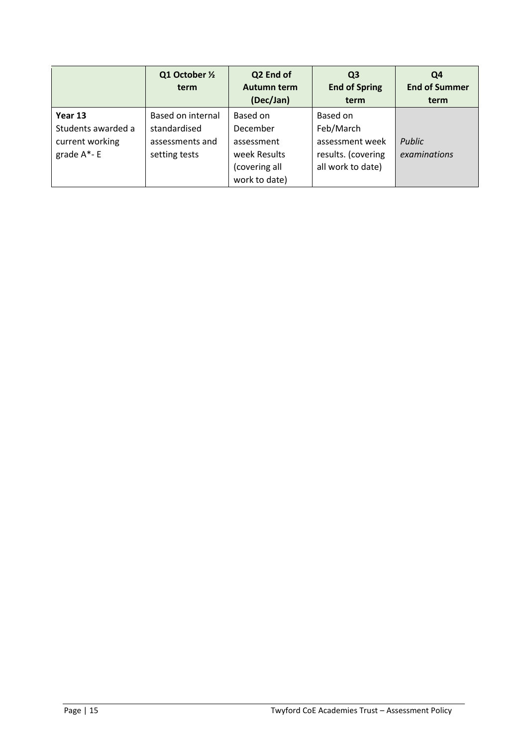|                                                                     | Q1 October 1/2<br>term                                                | Q2 End of<br>Autumn term<br>(Dec/Jan)                                                | Q <sub>3</sub><br><b>End of Spring</b><br>term                                      | Q4<br><b>End of Summer</b><br>term |
|---------------------------------------------------------------------|-----------------------------------------------------------------------|--------------------------------------------------------------------------------------|-------------------------------------------------------------------------------------|------------------------------------|
| Year 13<br>Students awarded a<br>current working<br>grade $A^*$ - E | Based on internal<br>standardised<br>assessments and<br>setting tests | Based on<br>December<br>assessment<br>week Results<br>(covering all<br>work to date) | Based on<br>Feb/March<br>assessment week<br>results. (covering<br>all work to date) | <b>Public</b><br>examinations      |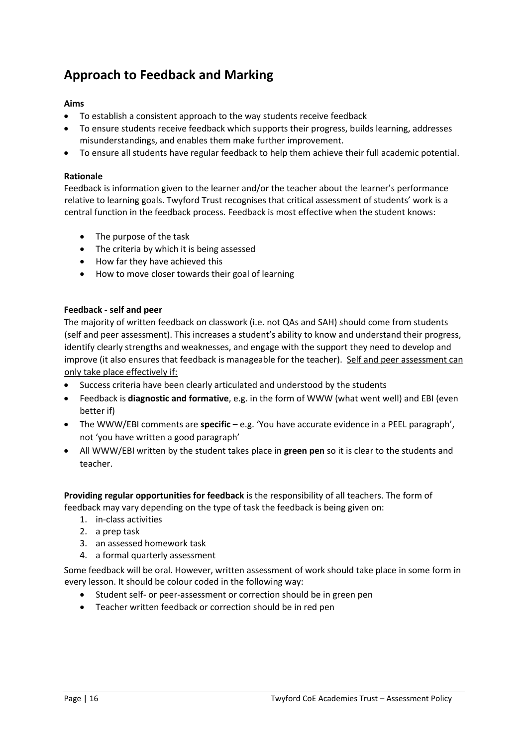# **Approach to Feedback and Marking**

### **Aims**

- To establish a consistent approach to the way students receive feedback
- To ensure students receive feedback which supports their progress, builds learning, addresses misunderstandings, and enables them make further improvement.
- To ensure all students have regular feedback to help them achieve their full academic potential.

#### **Rationale**

Feedback is information given to the learner and/or the teacher about the learner's performance relative to learning goals. Twyford Trust recognises that critical assessment of students' work is a central function in the feedback process. Feedback is most effective when the student knows:

- The purpose of the task
- The criteria by which it is being assessed
- How far they have achieved this
- How to move closer towards their goal of learning

### **Feedback - self and peer**

The majority of written feedback on classwork (i.e. not QAs and SAH) should come from students (self and peer assessment). This increases a student's ability to know and understand their progress, identify clearly strengths and weaknesses, and engage with the support they need to develop and improve (it also ensures that feedback is manageable for the teacher). Self and peer assessment can only take place effectively if:

- Success criteria have been clearly articulated and understood by the students
- Feedback is **diagnostic and formative**, e.g. in the form of WWW (what went well) and EBI (even better if)
- The WWW/EBI comments are **specific** e.g. 'You have accurate evidence in a PEEL paragraph', not 'you have written a good paragraph'
- All WWW/EBI written by the student takes place in **green pen** so it is clear to the students and teacher.

**Providing regular opportunities for feedback** is the responsibility of all teachers. The form of feedback may vary depending on the type of task the feedback is being given on:

- 1. in-class activities
- 2. a prep task
- 3. an assessed homework task
- 4. a formal quarterly assessment

Some feedback will be oral. However, written assessment of work should take place in some form in every lesson. It should be colour coded in the following way:

- Student self- or peer-assessment or correction should be in green pen
- Teacher written feedback or correction should be in red pen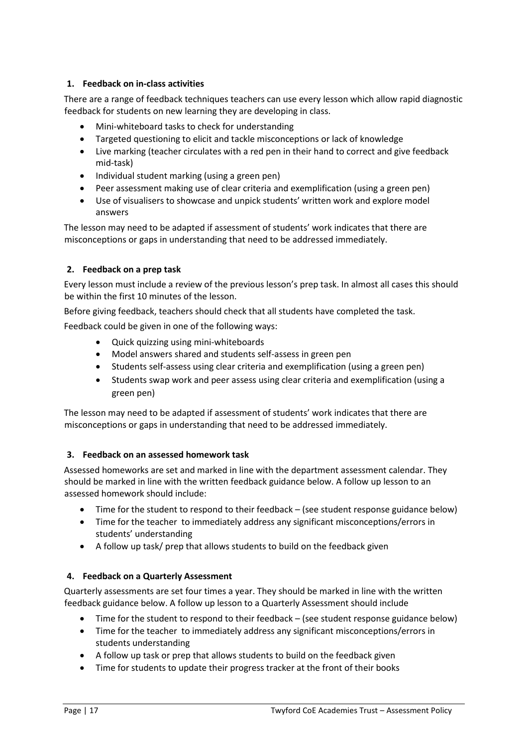### **1. Feedback on in-class activities**

There are a range of feedback techniques teachers can use every lesson which allow rapid diagnostic feedback for students on new learning they are developing in class.

- Mini-whiteboard tasks to check for understanding
- Targeted questioning to elicit and tackle misconceptions or lack of knowledge
- Live marking (teacher circulates with a red pen in their hand to correct and give feedback mid-task)
- Individual student marking (using a green pen)
- Peer assessment making use of clear criteria and exemplification (using a green pen)
- Use of visualisers to showcase and unpick students' written work and explore model answers

The lesson may need to be adapted if assessment of students' work indicates that there are misconceptions or gaps in understanding that need to be addressed immediately.

### **2. Feedback on a prep task**

Every lesson must include a review of the previous lesson's prep task. In almost all cases this should be within the first 10 minutes of the lesson.

Before giving feedback, teachers should check that all students have completed the task.

Feedback could be given in one of the following ways:

- Quick quizzing using mini-whiteboards
- Model answers shared and students self-assess in green pen
- Students self-assess using clear criteria and exemplification (using a green pen)
- Students swap work and peer assess using clear criteria and exemplification (using a green pen)

The lesson may need to be adapted if assessment of students' work indicates that there are misconceptions or gaps in understanding that need to be addressed immediately.

### **3. Feedback on an assessed homework task**

Assessed homeworks are set and marked in line with the department assessment calendar. They should be marked in line with the written feedback guidance below. A follow up lesson to an assessed homework should include:

- Time for the student to respond to their feedback (see student response guidance below)
- Time for the teacher to immediately address any significant misconceptions/errors in students' understanding
- A follow up task/ prep that allows students to build on the feedback given

### **4. Feedback on a Quarterly Assessment**

Quarterly assessments are set four times a year. They should be marked in line with the written feedback guidance below. A follow up lesson to a Quarterly Assessment should include

- Time for the student to respond to their feedback (see student response guidance below)
- Time for the teacher to immediately address any significant misconceptions/errors in students understanding
- A follow up task or prep that allows students to build on the feedback given
- Time for students to update their progress tracker at the front of their books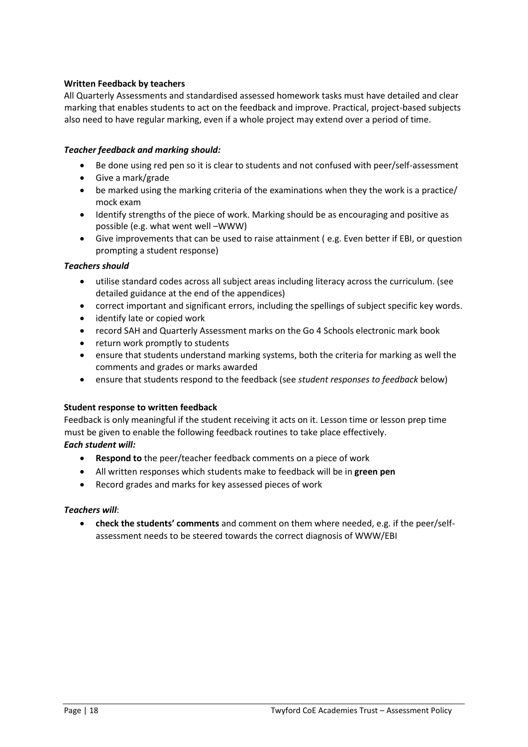### **Written Feedback by teachers**

All Quarterly Assessments and standardised assessed homework tasks must have detailed and clear marking that enables students to act on the feedback and improve. Practical, project-based subjects also need to have regular marking, even if a whole project may extend over a period of time.

#### *Teacher feedback and marking should:*

- Be done using red pen so it is clear to students and not confused with peer/self-assessment
- Give a mark/grade
- be marked using the marking criteria of the examinations when they the work is a practice/ mock exam
- Identify strengths of the piece of work. Marking should be as encouraging and positive as possible (e.g. what went well –WWW)
- Give improvements that can be used to raise attainment ( e.g. Even better if EBI, or question prompting a student response)

#### *Teachers should*

- utilise standard codes across all subject areas including literacy across the curriculum. (see detailed guidance at the end of the appendices)
- correct important and significant errors, including the spellings of subject specific key words.
- identify late or copied work
- record SAH and Quarterly Assessment marks on the Go 4 Schools electronic mark book
- return work promptly to students
- ensure that students understand marking systems, both the criteria for marking as well the comments and grades or marks awarded
- ensure that students respond to the feedback (see *student responses to feedback* below)

### **Student response to written feedback**

Feedback is only meaningful if the student receiving it acts on it. Lesson time or lesson prep time must be given to enable the following feedback routines to take place effectively. *Each student will:*

- **Respond to** the peer/teacher feedback comments on a piece of work
- All written responses which students make to feedback will be in **green pen**
- Record grades and marks for key assessed pieces of work

#### *Teachers will*:

 **check the students' comments** and comment on them where needed, e.g. if the peer/selfassessment needs to be steered towards the correct diagnosis of WWW/EBI